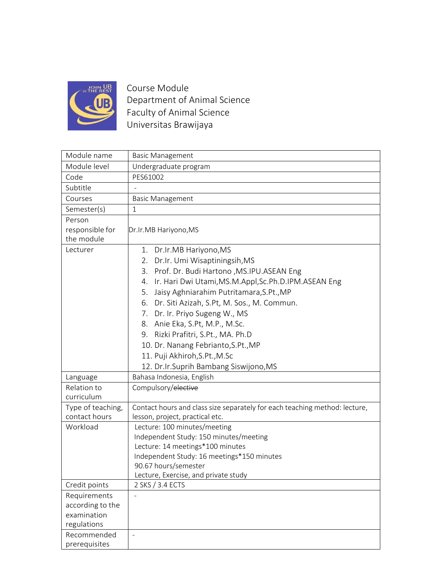

Course Module Department of Animal Science Faculty of Animal Science Universitas Brawijaya

| Module name                                                    | <b>Basic Management</b>                                                                                                                                                                                                                                                                                                                                                                                                                                                                                   |
|----------------------------------------------------------------|-----------------------------------------------------------------------------------------------------------------------------------------------------------------------------------------------------------------------------------------------------------------------------------------------------------------------------------------------------------------------------------------------------------------------------------------------------------------------------------------------------------|
| Module level                                                   | Undergraduate program                                                                                                                                                                                                                                                                                                                                                                                                                                                                                     |
| Code                                                           | PES61002                                                                                                                                                                                                                                                                                                                                                                                                                                                                                                  |
| Subtitle                                                       |                                                                                                                                                                                                                                                                                                                                                                                                                                                                                                           |
| Courses                                                        | <b>Basic Management</b>                                                                                                                                                                                                                                                                                                                                                                                                                                                                                   |
| Semester(s)                                                    | 1                                                                                                                                                                                                                                                                                                                                                                                                                                                                                                         |
| Person<br>responsible for<br>the module                        | Dr.Ir.MB Hariyono, MS                                                                                                                                                                                                                                                                                                                                                                                                                                                                                     |
| Lecturer                                                       | 1. Dr.Ir.MB Hariyono, MS<br>2. Dr.Ir. Umi Wisaptiningsih, MS<br>3. Prof. Dr. Budi Hartono , MS.IPU.ASEAN Eng<br>Ir. Hari Dwi Utami, MS.M.Appl, Sc.Ph.D.IPM.ASEAN Eng<br>4.<br>Jaisy Aghniarahim Putritamara, S.Pt., MP<br>5.<br>6. Dr. Siti Azizah, S.Pt, M. Sos., M. Commun.<br>7. Dr. Ir. Priyo Sugeng W., MS<br>8. Anie Eka, S.Pt, M.P., M.Sc.<br>9. Rizki Prafitri, S.Pt., MA. Ph.D<br>10. Dr. Nanang Febrianto, S.Pt., MP<br>11. Puji Akhiroh, S.Pt., M.Sc<br>12. Dr.Ir.Suprih Bambang Siswijono, MS |
| Language                                                       | Bahasa Indonesia, English                                                                                                                                                                                                                                                                                                                                                                                                                                                                                 |
| Relation to<br>curriculum                                      | Compulsory/elective                                                                                                                                                                                                                                                                                                                                                                                                                                                                                       |
| Type of teaching,<br>contact hours                             | Contact hours and class size separately for each teaching method: lecture,<br>lesson, project, practical etc.                                                                                                                                                                                                                                                                                                                                                                                             |
| Workload                                                       | Lecture: 100 minutes/meeting<br>Independent Study: 150 minutes/meeting<br>Lecture: 14 meetings*100 minutes<br>Independent Study: 16 meetings*150 minutes<br>90.67 hours/semester<br>Lecture, Exercise, and private study                                                                                                                                                                                                                                                                                  |
| Credit points                                                  | 2 SKS / 3.4 ECTS                                                                                                                                                                                                                                                                                                                                                                                                                                                                                          |
| Requirements<br>according to the<br>examination<br>regulations |                                                                                                                                                                                                                                                                                                                                                                                                                                                                                                           |
| Recommended<br>prerequisites                                   |                                                                                                                                                                                                                                                                                                                                                                                                                                                                                                           |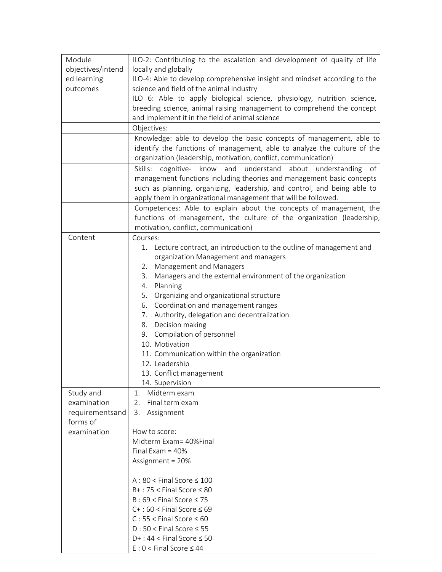| Module            | ILO-2: Contributing to the escalation and development of quality of life                                                                                                                                           |
|-------------------|--------------------------------------------------------------------------------------------------------------------------------------------------------------------------------------------------------------------|
| objectives/intend | locally and globally                                                                                                                                                                                               |
| ed learning       | ILO-4: Able to develop comprehensive insight and mindset according to the                                                                                                                                          |
| outcomes          | science and field of the animal industry                                                                                                                                                                           |
|                   | ILO 6: Able to apply biological science, physiology, nutrition science,                                                                                                                                            |
|                   | breeding science, animal raising management to comprehend the concept                                                                                                                                              |
|                   | and implement it in the field of animal science                                                                                                                                                                    |
|                   | Objectives:                                                                                                                                                                                                        |
|                   | Knowledge: able to develop the basic concepts of management, able to<br>identify the functions of management, able to analyze the culture of the<br>organization (leadership, motivation, conflict, communication) |
|                   | Skills:<br>cognitive- know and understand about understanding of                                                                                                                                                   |
|                   | management functions including theories and management basic concepts                                                                                                                                              |
|                   | such as planning, organizing, leadership, and control, and being able to                                                                                                                                           |
|                   | apply them in organizational management that will be followed.                                                                                                                                                     |
|                   | Competences: Able to explain about the concepts of management, the                                                                                                                                                 |
|                   | functions of management, the culture of the organization (leadership,                                                                                                                                              |
|                   | motivation, conflict, communication)                                                                                                                                                                               |
| Content           | Courses:                                                                                                                                                                                                           |
|                   | 1. Lecture contract, an introduction to the outline of management and                                                                                                                                              |
|                   | organization Management and managers                                                                                                                                                                               |
|                   | Management and Managers<br>2.                                                                                                                                                                                      |
|                   | Managers and the external environment of the organization<br>3.                                                                                                                                                    |
|                   | 4. Planning                                                                                                                                                                                                        |
|                   | 5. Organizing and organizational structure                                                                                                                                                                         |
|                   | 6. Coordination and management ranges                                                                                                                                                                              |
|                   | 7. Authority, delegation and decentralization<br>8. Decision making                                                                                                                                                |
|                   | 9. Compilation of personnel                                                                                                                                                                                        |
|                   | 10. Motivation                                                                                                                                                                                                     |
|                   | 11. Communication within the organization                                                                                                                                                                          |
|                   | 12. Leadership                                                                                                                                                                                                     |
|                   | 13. Conflict management                                                                                                                                                                                            |
|                   | 14. Supervision                                                                                                                                                                                                    |
| Study and         | 1.<br>Midterm exam                                                                                                                                                                                                 |
| examination       | 2.<br>Final term exam                                                                                                                                                                                              |
| requirementsand   | 3.<br>Assignment                                                                                                                                                                                                   |
| forms of          |                                                                                                                                                                                                                    |
| examination       | How to score:                                                                                                                                                                                                      |
|                   | Midterm Exam= 40%Final                                                                                                                                                                                             |
|                   | Final Exam = $40\%$                                                                                                                                                                                                |
|                   | Assignment = 20%                                                                                                                                                                                                   |
|                   | $A:80 <$ Final Score $\leq 100$                                                                                                                                                                                    |
|                   | $B+$ : 75 < Final Score $\leq 80$                                                                                                                                                                                  |
|                   | $B:69 <$ Final Score $\leq 75$                                                                                                                                                                                     |
|                   | $C+$ : 60 < Final Score $\leq 69$                                                                                                                                                                                  |
|                   | $C: 55 <$ Final Score $\leq 60$                                                                                                                                                                                    |
|                   | $D:50 <$ Final Score $\leq 55$                                                                                                                                                                                     |
|                   | $D+$ : 44 < Final Score $\leq$ 50                                                                                                                                                                                  |
|                   | $E: 0 <$ Final Score $\leq 44$                                                                                                                                                                                     |